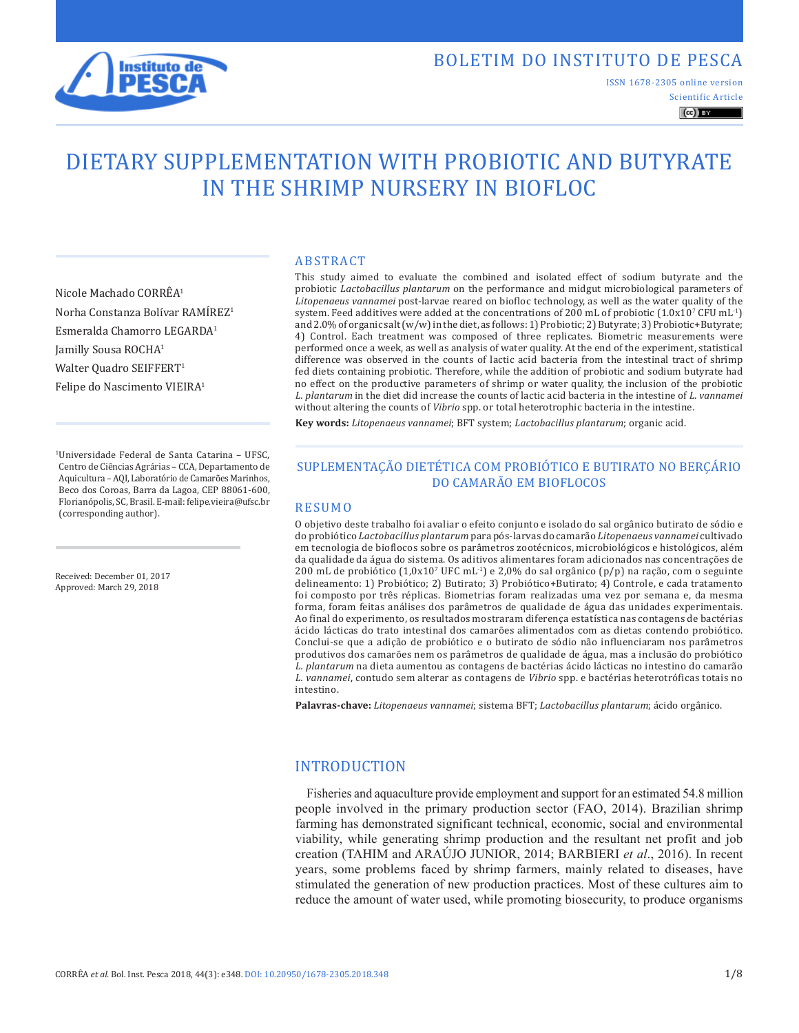

Scientific Article ISSN 1678-2305 online version

 $\left(\mathrm{cc}\right)$  BY

# DIETARY SUPPLEMENTATION WITH PROBIOTIC AND BUTYRATE IN THE SHRIMP NURSERY IN BIOFLOC

Nicole Machado CORRÊA1 Norha Constanza Bolívar RAMÍREZ1 Esmeralda Chamorro LEGARDA1 Jamilly Sousa ROCHA1 Walter Quadro SEIFFERT<sup>1</sup> Felipe do Nascimento VIEIRA<sup>1</sup>

1Universidade Federal de Santa Catarina – UFSC, Centro de Ciências Agrárias – CCA, Departamento de Aquicultura – AQI, Laboratório de Camarões Marinhos, Beco dos Coroas, Barra da Lagoa, CEP 88061-600, Florianópolis, SC, Brasil. E-mail: felipe.vieira@ufsc.br (corresponding author).

Received: December 01, 2017 Approved: March 29, 2018

#### ABSTRACT

This study aimed to evaluate the combined and isolated effect of sodium butyrate and the probiotic *Lactobacillus plantarum* on the performance and midgut microbiological parameters of *Litopenaeus vannamei* post-larvae reared on biofloc technology, as well as the water quality of the system. Feed additives were added at the concentrations of 200 mL of probiotic  $(1.0x10^7 \text{ CFU} \text{ mL}^{-1})$ and 2.0% of organic salt (w/w) in the diet, as follows: 1) Probiotic; 2) Butyrate; 3) Probiotic+Butyrate; 4) Control. Each treatment was composed of three replicates. Biometric measurements were performed once a week, as well as analysis of water quality. At the end of the experiment, statistical difference was observed in the counts of lactic acid bacteria from the intestinal tract of shrimp fed diets containing probiotic. Therefore, while the addition of probiotic and sodium butyrate had no effect on the productive parameters of shrimp or water quality, the inclusion of the probiotic *L. plantarum* in the diet did increase the counts of lactic acid bacteria in the intestine of *L. vannamei* without altering the counts of *Vibrio* spp. or total heterotrophic bacteria in the intestine.

**Key words:** *Litopenaeus vannamei*; BFT system; *Lactobacillus plantarum*; organic acid.

## SUPLEMENTAÇÃO DIETÉTICA COM PROBIÓTICO E BUTIRATO NO BERÇÁRIO DO CAMARÃO EM BIOFLOCOS

#### RESUMO

O objetivo deste trabalho foi avaliar o efeito conjunto e isolado do sal orgânico butirato de sódio e do probiótico *Lactobacillus plantarum* para pós-larvas do camarão *Litopenaeus vannamei* cultivado em tecnologia de bioflocos sobre os parâmetros zootécnicos, microbiológicos e histológicos, além da qualidade da água do sistema. Os aditivos alimentares foram adicionados nas concentrações de 200 mL de probiótico  $(1,0x10^7 \text{ UFC} \text{ mL}^{-1})$  e 2,0% do sal orgânico  $(p/p)$  na ração, com o seguinte delineamento: 1) Probiótico; 2) Butirato; 3) Probiótico+Butirato; 4) Controle, e cada tratamento foi composto por três réplicas. Biometrias foram realizadas uma vez por semana e, da mesma forma, foram feitas análises dos parâmetros de qualidade de água das unidades experimentais. Ao final do experimento, os resultados mostraram diferença estatística nas contagens de bactérias ácido lácticas do trato intestinal dos camarões alimentados com as dietas contendo probiótico. Conclui-se que a adição de probiótico e o butirato de sódio não influenciaram nos parâmetros produtivos dos camarões nem os parâmetros de qualidade de água, mas a inclusão do probiótico *L. plantarum* na dieta aumentou as contagens de bactérias ácido lácticas no intestino do camarão *L. vannamei*, contudo sem alterar as contagens de *Vibrio* spp. e bactérias heterotróficas totais no intestino.

**Palavras-chave:** *Litopenaeus vannamei*; sistema BFT; *Lactobacillus plantarum*; ácido orgânico.

## INTRODUCTION

Fisheries and aquaculture provide employment and support for an estimated 54.8 million people involved in the primary production sector (FAO, 2014). Brazilian shrimp farming has demonstrated significant technical, economic, social and environmental viability, while generating shrimp production and the resultant net profit and job creation (TAHIM and ARAÚJO JUNIOR, 2014; BARBIERI *et al*., 2016). In recent years, some problems faced by shrimp farmers, mainly related to diseases, have stimulated the generation of new production practices. Most of these cultures aim to reduce the amount of water used, while promoting biosecurity, to produce organisms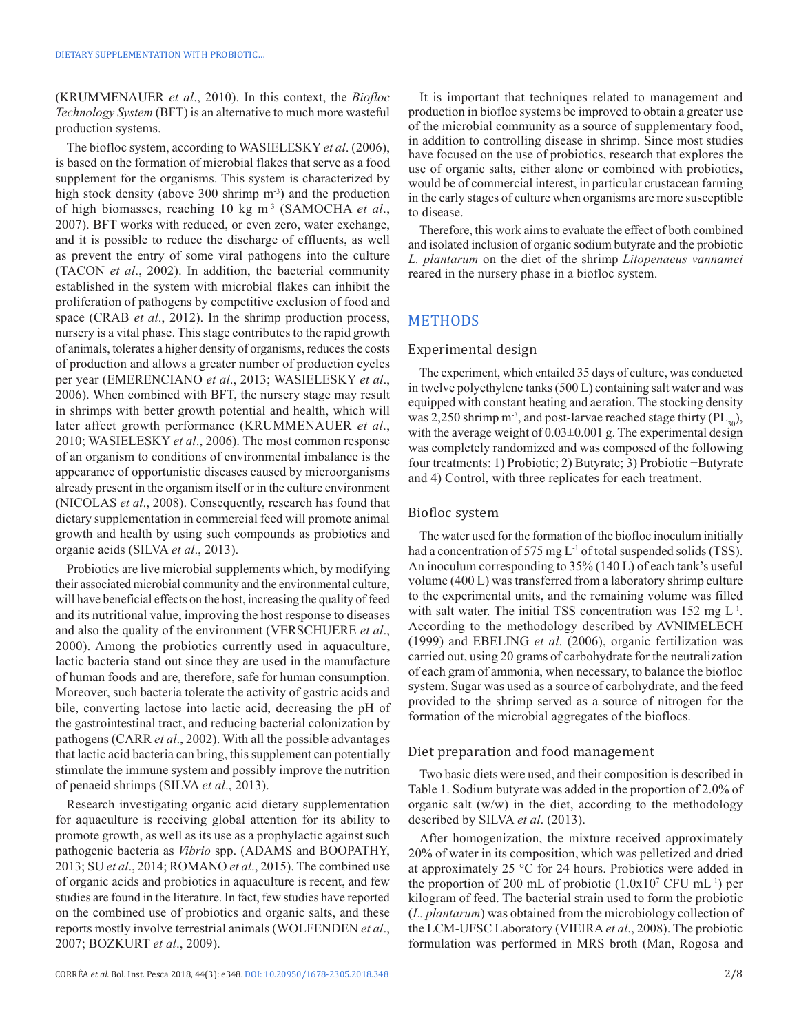(KRUMMENAUER *et al*., 2010). In this context, the *Biofloc Technology System* (BFT) is an alternative to much more wasteful production systems.

The biofloc system, according to WASIELESKY *et al*. (2006), is based on the formation of microbial flakes that serve as a food supplement for the organisms. This system is characterized by high stock density (above 300 shrimp m<sup>-3</sup>) and the production of high biomasses, reaching 10 kg m-3 (SAMOCHA *et al*., 2007). BFT works with reduced, or even zero, water exchange, and it is possible to reduce the discharge of effluents, as well as prevent the entry of some viral pathogens into the culture (TACON *et al*., 2002). In addition, the bacterial community established in the system with microbial flakes can inhibit the proliferation of pathogens by competitive exclusion of food and space (CRAB *et al*., 2012). In the shrimp production process, nursery is a vital phase. This stage contributes to the rapid growth of animals, tolerates a higher density of organisms, reduces the costs of production and allows a greater number of production cycles per year (EMERENCIANO *et al*., 2013; WASIELESKY *et al*., 2006). When combined with BFT, the nursery stage may result in shrimps with better growth potential and health, which will later affect growth performance (KRUMMENAUER *et al*., 2010; WASIELESKY *et al*., 2006). The most common response of an organism to conditions of environmental imbalance is the appearance of opportunistic diseases caused by microorganisms already present in the organism itself or in the culture environment (NICOLAS *et al*., 2008). Consequently, research has found that dietary supplementation in commercial feed will promote animal growth and health by using such compounds as probiotics and organic acids (SILVA *et al*., 2013).

Probiotics are live microbial supplements which, by modifying their associated microbial community and the environmental culture, will have beneficial effects on the host, increasing the quality of feed and its nutritional value, improving the host response to diseases and also the quality of the environment (VERSCHUERE *et al*., 2000). Among the probiotics currently used in aquaculture, lactic bacteria stand out since they are used in the manufacture of human foods and are, therefore, safe for human consumption. Moreover, such bacteria tolerate the activity of gastric acids and bile, converting lactose into lactic acid, decreasing the pH of the gastrointestinal tract, and reducing bacterial colonization by pathogens (CARR *et al*., 2002). With all the possible advantages that lactic acid bacteria can bring, this supplement can potentially stimulate the immune system and possibly improve the nutrition of penaeid shrimps (SILVA *et al*., 2013).

Research investigating organic acid dietary supplementation for aquaculture is receiving global attention for its ability to promote growth, as well as its use as a prophylactic against such pathogenic bacteria as *Vibrio* spp. (ADAMS and BOOPATHY, 2013; SU *et al*., 2014; ROMANO *et al*., 2015). The combined use of organic acids and probiotics in aquaculture is recent, and few studies are found in the literature. In fact, few studies have reported on the combined use of probiotics and organic salts, and these reports mostly involve terrestrial animals (WOLFENDEN *et al*., 2007; BOZKURT *et al*., 2009).

It is important that techniques related to management and production in biofloc systems be improved to obtain a greater use of the microbial community as a source of supplementary food, in addition to controlling disease in shrimp. Since most studies have focused on the use of probiotics, research that explores the use of organic salts, either alone or combined with probiotics, would be of commercial interest, in particular crustacean farming in the early stages of culture when organisms are more susceptible to disease.

Therefore, this work aims to evaluate the effect of both combined and isolated inclusion of organic sodium butyrate and the probiotic *L. plantarum* on the diet of the shrimp *Litopenaeus vannamei* reared in the nursery phase in a biofloc system.

# METHODS

#### Experimental design

The experiment, which entailed 35 days of culture, was conducted in twelve polyethylene tanks (500 L) containing salt water and was equipped with constant heating and aeration. The stocking density was 2,250 shrimp  $m^{-3}$ , and post-larvae reached stage thirty (PL<sub>30</sub>), with the average weight of  $0.03\pm0.001$  g. The experimental design was completely randomized and was composed of the following four treatments: 1) Probiotic; 2) Butyrate; 3) Probiotic +Butyrate and 4) Control, with three replicates for each treatment.

#### Biofloc system

The water used for the formation of the biofloc inoculum initially had a concentration of 575 mg L<sup>-1</sup> of total suspended solids (TSS). An inoculum corresponding to 35% (140 L) of each tank's useful volume (400 L) was transferred from a laboratory shrimp culture to the experimental units, and the remaining volume was filled with salt water. The initial TSS concentration was  $152 \text{ mg L}^{-1}$ . According to the methodology described by AVNIMELECH (1999) and EBELING *et al*. (2006), organic fertilization was carried out, using 20 grams of carbohydrate for the neutralization of each gram of ammonia, when necessary, to balance the biofloc system. Sugar was used as a source of carbohydrate, and the feed provided to the shrimp served as a source of nitrogen for the formation of the microbial aggregates of the bioflocs.

#### Diet preparation and food management

Two basic diets were used, and their composition is described in Table 1. Sodium butyrate was added in the proportion of 2.0% of organic salt (w/w) in the diet, according to the methodology described by SILVA *et al*. (2013).

After homogenization, the mixture received approximately 20% of water in its composition, which was pelletized and dried at approximately 25 °C for 24 hours. Probiotics were added in the proportion of 200 mL of probiotic  $(1.0x10^7$  CFU mL<sup>-1</sup>) per kilogram of feed. The bacterial strain used to form the probiotic (*L. plantarum*) was obtained from the microbiology collection of the LCM-UFSC Laboratory (VIEIRA *et al*., 2008). The probiotic formulation was performed in MRS broth (Man, Rogosa and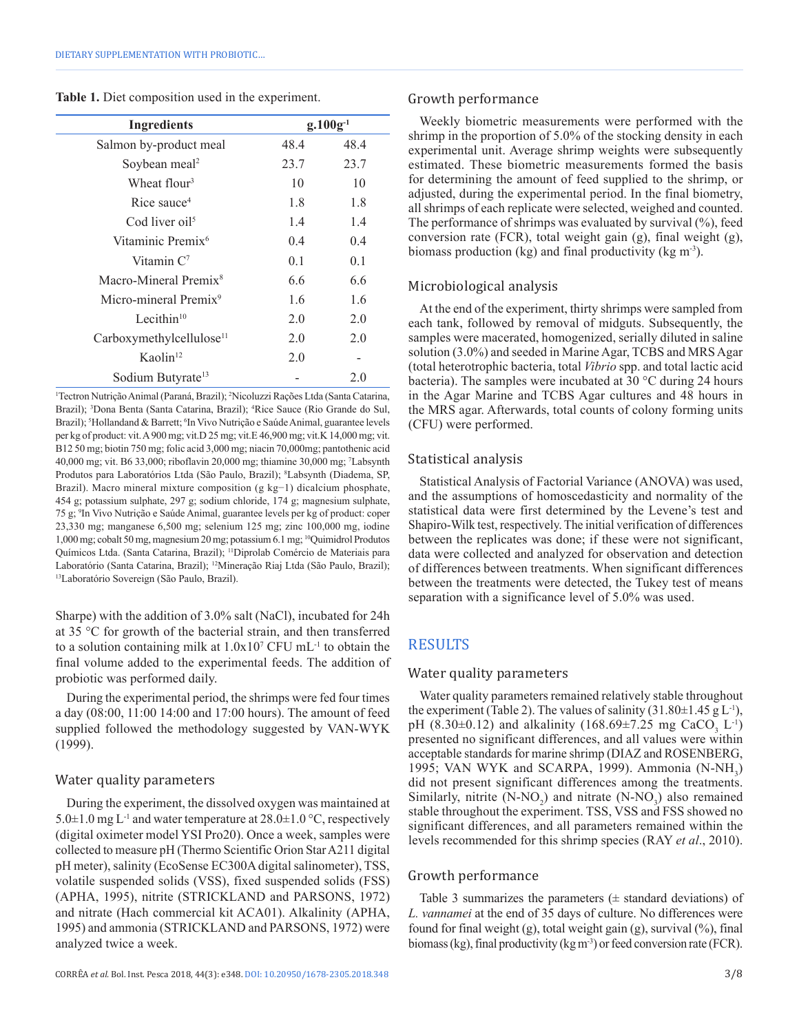|  | <b>Table 1.</b> Diet composition used in the experiment. |  |  |
|--|----------------------------------------------------------|--|--|
|  |                                                          |  |  |

| <b>Ingredients</b>                   | $g.100g^{-1}$ |      |  |
|--------------------------------------|---------------|------|--|
| Salmon by-product meal               | 48.4          | 48.4 |  |
| Soybean meal <sup>2</sup>            | 23.7          | 23.7 |  |
| Wheat flour <sup>3</sup>             | 10            | 10   |  |
| Rice sauce <sup>4</sup>              | 1.8           | 1.8  |  |
| Cod liver oil <sup>5</sup>           | 1.4           | 1.4  |  |
| Vitaminic Premix <sup>6</sup>        | 0.4           | 0.4  |  |
| Vitamin $C^7$                        | 0.1           | 0.1  |  |
| Macro-Mineral Premix <sup>8</sup>    | 6.6           | 6.6  |  |
| Micro-mineral Premix <sup>9</sup>    | 1.6           | 1.6  |  |
| Lecithin $10$                        | 2.0           | 2.0  |  |
| Carboxymethylcellulose <sup>11</sup> | 2.0           | 2.0  |  |
| Kaolin <sup>12</sup>                 | 2.0           |      |  |
| Sodium Butyrate <sup>13</sup>        |               | 2.0  |  |

1 Tectron Nutrição Animal (Paraná, Brazil); 2 Nicoluzzi Rações Ltda (Santa Catarina, Brazil); <sup>3</sup>Dona Benta (Santa Catarina, Brazil); <sup>4</sup>Rice Sauce (Rio Grande do Sul, Brazil); <sup>5</sup>Hollandand & Barrett; <sup>6</sup>In Vivo Nutrição e Saúde Animal, guarantee levels per kg of product: vit. A 900 mg; vit.D 25 mg; vit.E 46,900 mg; vit.K 14,000 mg; vit. B12 50 mg; biotin 750 mg; folic acid 3,000 mg; niacin 70,000mg; pantothenic acid 40,000 mg; vit. B6 33,000; riboflavin 20,000 mg; thiamine 30,000 mg; 7 Labsynth Produtos para Laboratórios Ltda (São Paulo, Brazil); <sup>8</sup>Labsynth (Diadema, SP, Brazil). Macro mineral mixture composition (g kg−1) dicalcium phosphate, 454 g; potassium sulphate, 297 g; sodium chloride, 174 g; magnesium sulphate, 75 g; 9 In Vivo Nutrição e Saúde Animal, guarantee levels per kg of product: coper 23,330 mg; manganese 6,500 mg; selenium 125 mg; zinc 100,000 mg, iodine 1,000mg; cobalt 50 mg, magnesium 20 mg; potassium 6.1 mg; 10Quimidrol Produtos Químicos Ltda. (Santa Catarina, Brazil); 11Diprolab Comércio de Materiais para Laboratório (Santa Catarina, Brazil); <sup>12</sup>Mineração Riaj Ltda (São Paulo, Brazil);<br><sup>13</sup>Laboratório Sovereign (São Paulo, Brazil).

Sharpe) with the addition of 3.0% salt (NaCl), incubated for 24h at 35 °C for growth of the bacterial strain, and then transferred to a solution containing milk at  $1.0x10^7$  CFU mL<sup>-1</sup> to obtain the final volume added to the experimental feeds. The addition of probiotic was performed daily.

During the experimental period, the shrimps were fed four times a day (08:00, 11:00 14:00 and 17:00 hours). The amount of feed supplied followed the methodology suggested by VAN-WYK (1999).

#### Water quality parameters

During the experiment, the dissolved oxygen was maintained at 5.0 $\pm$ 1.0 mg L<sup>-1</sup> and water temperature at 28.0 $\pm$ 1.0 °C, respectively (digital oximeter model YSI Pro20). Once a week, samples were collected to measure pH (Thermo Scientific Orion Star A211 digital pH meter), salinity (EcoSense EC300A digital salinometer), TSS, volatile suspended solids (VSS), fixed suspended solids (FSS) (APHA, 1995), nitrite (STRICKLAND and PARSONS, 1972) and nitrate (Hach commercial kit ACA01). Alkalinity (APHA, 1995) and ammonia (STRICKLAND and PARSONS, 1972) were analyzed twice a week.

#### Growth performance

Weekly biometric measurements were performed with the shrimp in the proportion of 5.0% of the stocking density in each experimental unit. Average shrimp weights were subsequently estimated. These biometric measurements formed the basis for determining the amount of feed supplied to the shrimp, or adjusted, during the experimental period. In the final biometry, all shrimps of each replicate were selected, weighed and counted. The performance of shrimps was evaluated by survival (%), feed conversion rate (FCR), total weight gain (g), final weight (g), biomass production (kg) and final productivity (kg  $m<sup>3</sup>$ ).

## Microbiological analysis

At the end of the experiment, thirty shrimps were sampled from each tank, followed by removal of midguts. Subsequently, the samples were macerated, homogenized, serially diluted in saline solution (3.0%) and seeded in Marine Agar, TCBS and MRS Agar (total heterotrophic bacteria, total *Vibrio* spp. and total lactic acid bacteria). The samples were incubated at 30 °C during 24 hours in the Agar Marine and TCBS Agar cultures and 48 hours in the MRS agar. Afterwards, total counts of colony forming units (CFU) were performed.

## Statistical analysis

Statistical Analysis of Factorial Variance (ANOVA) was used, and the assumptions of homoscedasticity and normality of the statistical data were first determined by the Levene's test and Shapiro-Wilk test, respectively. The initial verification of differences between the replicates was done; if these were not significant, data were collected and analyzed for observation and detection of differences between treatments. When significant differences between the treatments were detected, the Tukey test of means separation with a significance level of 5.0% was used.

## **RESULTS**

#### Water quality parameters

Water quality parameters remained relatively stable throughout the experiment (Table 2). The values of salinity  $(31.80 \pm 1.45 \text{ g L}^{-1})$ , pH (8.30 $\pm$ 0.12) and alkalinity (168.69 $\pm$ 7.25 mg CaCO<sub>3</sub> L<sup>1</sup>) presented no significant differences, and all values were within acceptable standards for marine shrimp (DIAZ and ROSENBERG, 1995; VAN WYK and SCARPA, 1999). Ammonia  $(N-NH<sub>3</sub>)$ did not present significant differences among the treatments. Similarly, nitrite  $(N-NO_2)$  and nitrate  $(N-NO_3)$  also remained stable throughout the experiment. TSS, VSS and FSS showed no significant differences, and all parameters remained within the levels recommended for this shrimp species (RAY *et al*., 2010).

## Growth performance

Table 3 summarizes the parameters  $(\pm$  standard deviations) of *L. vannamei* at the end of 35 days of culture. No differences were found for final weight  $(g)$ , total weight gain  $(g)$ , survival  $(\%)$ , final biomass (kg), final productivity (kg m<sup>-3</sup>) or feed conversion rate (FCR).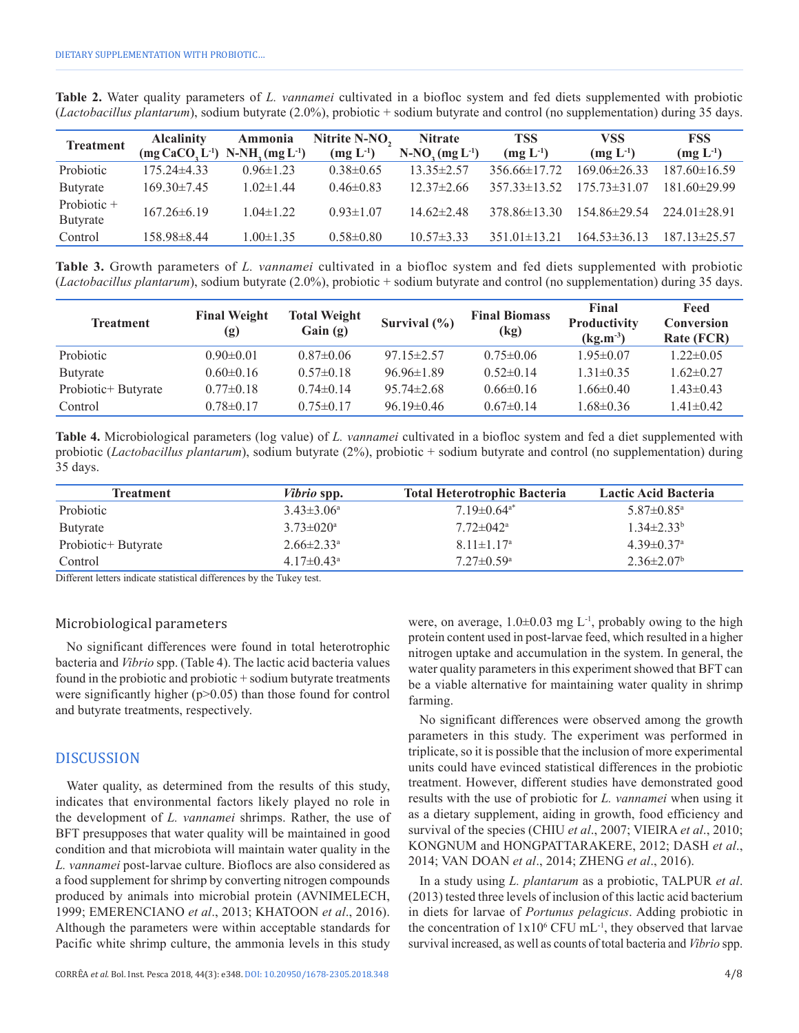**Table 2.** Water quality parameters of *L. vannamei* cultivated in a biofloc system and fed diets supplemented with probiotic (*Lactobacillus plantarum*), sodium butyrate (2.0%), probiotic + sodium butyrate and control (no supplementation) during 35 days.

| <b>Treatment</b>        | <b>Alcalinity</b><br>$(mg CaCO, L^{-1})$ N-NH <sub>2</sub> $(mg L^{-1})$ | Ammonia         | Nitrite N-NO,<br>$(mg L^{-1})$ | <b>Nitrate</b><br>$N-NO3(mg L-1)$ | <b>TSS</b><br>$(mg L^{-1})$ | <b>VSS</b><br>$(mg L^{-1})$ | <b>FSS</b><br>$(mg L^{-1})$ |
|-------------------------|--------------------------------------------------------------------------|-----------------|--------------------------------|-----------------------------------|-----------------------------|-----------------------------|-----------------------------|
| Probiotic               | $175.24\pm4.33$                                                          | $0.96 \pm 1.23$ | $0.38 \pm 0.65$                | $13.35 \pm 2.57$                  | $356.66\pm17.72$            | $169.06\pm26.33$            | $187.60 \pm 16.59$          |
| Butyrate                | $169.30\pm7.45$                                                          | $1.02 \pm 1.44$ | $0.46\pm0.83$                  | $12.37 \pm 2.66$                  | $35733\pm1352$              | $175.73\pm31.07$            | $181.60\pm 29.99$           |
| Probiotic +<br>Butyrate | $167.26\pm 6.19$                                                         | $1.04 \pm 1.22$ | $0.93 \pm 1.07$                | $14.62 \pm 2.48$                  | $378.86\pm13.30$            | $154.86\pm29.54$            | $224.01\pm28.91$            |
| Control                 | 158.98±8.44                                                              | $1.00 \pm 1.35$ | $0.58 \pm 0.80$                | $10.57 \pm 3.33$                  | $351.01\pm13.21$            | $164.53 \pm 36.13$          | $187.13 \pm 25.57$          |

**Table 3.** Growth parameters of *L. vannamei* cultivated in a biofloc system and fed diets supplemented with probiotic (*Lactobacillus plantarum*), sodium butyrate (2.0%), probiotic + sodium butyrate and control (no supplementation) during 35 days.

| <b>Treatment</b>    | <b>Final Weight</b><br>(g) | <b>Total Weight</b><br>Gain(g) | Survival $(\% )$ | <b>Final Biomass</b><br>(kg) | Final<br>Productivity<br>$(kg.m^{-3})$ | Feed<br><b>Conversion</b><br>Rate (FCR) |
|---------------------|----------------------------|--------------------------------|------------------|------------------------------|----------------------------------------|-----------------------------------------|
| Probiotic           | $0.90 \pm 0.01$            | $0.87\pm0.06$                  | $97.15 \pm 2.57$ | $0.75 \pm 0.06$              | $1.95 \pm 0.07$                        | $1.22 \pm 0.05$                         |
| Butyrate            | $0.60 \pm 0.16$            | $0.57\pm0.18$                  | $96.96 \pm 1.89$ | $0.52\pm0.14$                | $1.31 \pm 0.35$                        | $1.62 \pm 0.27$                         |
| Probiotic+ Butyrate | $0.77\pm0.18$              | $0.74 \pm 0.14$                | $95.74 \pm 2.68$ | $0.66\pm0.16$                | $1.66 \pm 0.40$                        | $1.43\pm0.43$                           |
| Control             | $0.78 \pm 0.17$            | $0.75 \pm 0.17$                | $96.19 \pm 0.46$ | $0.67\pm0.14$                | $1.68 \pm 0.36$                        | $1.41 \pm 0.42$                         |

**Table 4.** Microbiological parameters (log value) of *L. vannamei* cultivated in a biofloc system and fed a diet supplemented with probiotic (*Lactobacillus plantarum*), sodium butyrate (2%), probiotic + sodium butyrate and control (no supplementation) during 35 days.

| Treatment           | <i>Vibrio</i> spp.           | <b>Total Heterotrophic Bacteria</b> | Lactic Acid Bacteria         |
|---------------------|------------------------------|-------------------------------------|------------------------------|
| <b>Probiotic</b>    | $3.43\pm3.06^{\circ}$        | $7.19 \pm 0.64$ <sup>a*</sup>       | $5.87 \pm 0.85$ <sup>a</sup> |
| Butyrate            | $3.73 \pm 0.20^a$            | $7.72 \pm 0.42^{\mathrm{a}}$        | $1.34 \pm 2.33^b$            |
| Probiotic+ Butyrate | $2.66 \pm 2.33$ <sup>a</sup> | $8.11 \pm 1.17$ <sup>a</sup>        | $4.39\pm0.37$ <sup>a</sup>   |
| Control             | $4.17 \pm 0.43$ <sup>a</sup> | $7.27 \pm 0.59$ <sup>a</sup>        | $2.36 \pm 2.07$ <sup>b</sup> |

Different letters indicate statistical differences by the Tukey test.

#### Microbiological parameters

No significant differences were found in total heterotrophic bacteria and *Vibrio* spp. (Table 4). The lactic acid bacteria values found in the probiotic and probiotic + sodium butyrate treatments were significantly higher  $(p>0.05)$  than those found for control and butyrate treatments, respectively.

## DISCUSSION

Water quality, as determined from the results of this study, indicates that environmental factors likely played no role in the development of *L. vannamei* shrimps. Rather, the use of BFT presupposes that water quality will be maintained in good condition and that microbiota will maintain water quality in the *L. vannamei* post-larvae culture. Bioflocs are also considered as a food supplement for shrimp by converting nitrogen compounds produced by animals into microbial protein (AVNIMELECH, 1999; EMERENCIANO *et al*., 2013; KHATOON *et al*., 2016). Although the parameters were within acceptable standards for Pacific white shrimp culture, the ammonia levels in this study

were, on average,  $1.0\pm0.03$  mg L<sup>-1</sup>, probably owing to the high protein content used in post-larvae feed, which resulted in a higher nitrogen uptake and accumulation in the system. In general, the water quality parameters in this experiment showed that BFT can be a viable alternative for maintaining water quality in shrimp farming.

No significant differences were observed among the growth parameters in this study. The experiment was performed in triplicate, so it is possible that the inclusion of more experimental units could have evinced statistical differences in the probiotic treatment. However, different studies have demonstrated good results with the use of probiotic for *L. vannamei* when using it as a dietary supplement, aiding in growth, food efficiency and survival of the species (CHIU *et al*., 2007; VIEIRA *et al*., 2010; KONGNUM and HONGPATTARAKERE, 2012; DASH *et al*., 2014; VAN DOAN *et al*., 2014; ZHENG *et al*., 2016).

In a study using *L. plantarum* as a probiotic, TALPUR *et al*. (2013) tested three levels of inclusion of this lactic acid bacterium in diets for larvae of *Portunus pelagicus*. Adding probiotic in the concentration of  $1x10^6$  CFU mL<sup>-1</sup>, they observed that larvae survival increased, as well as counts of total bacteria and *Vibrio* spp.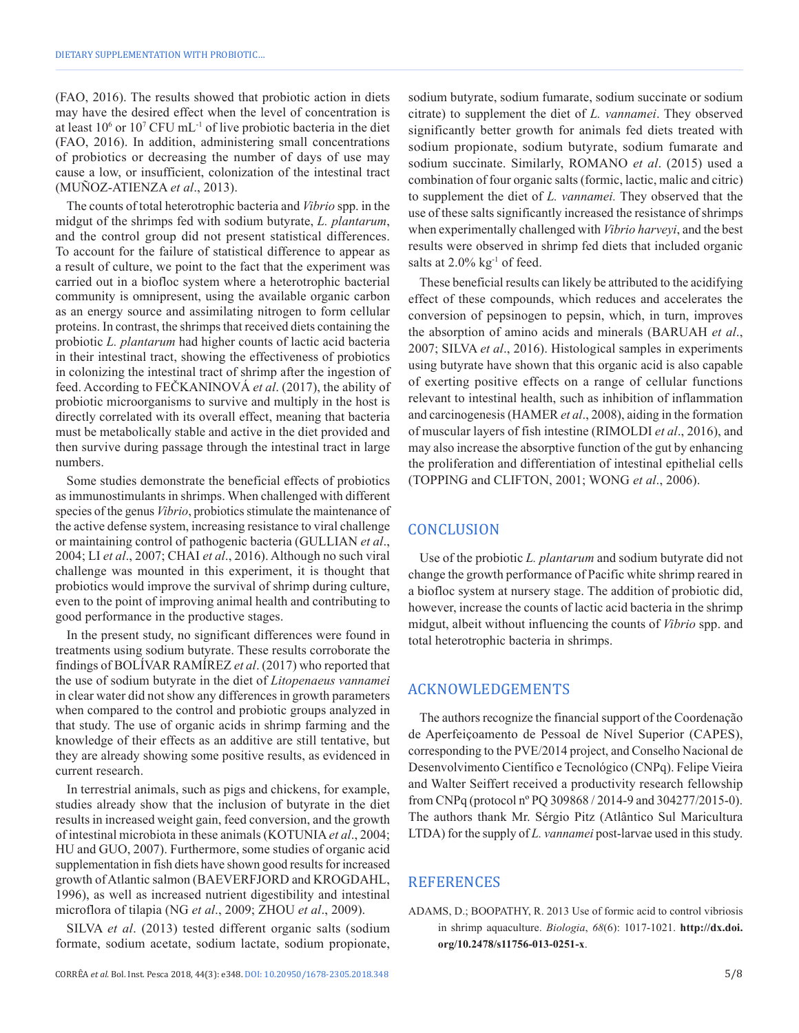(FAO, 2016). The results showed that probiotic action in diets may have the desired effect when the level of concentration is at least  $10^6$  or  $10^7$  CFU mL<sup>-1</sup> of live probiotic bacteria in the diet (FAO, 2016). In addition, administering small concentrations of probiotics or decreasing the number of days of use may cause a low, or insufficient, colonization of the intestinal tract (MUÑOZ-ATIENZA *et al*., 2013).

The counts of total heterotrophic bacteria and *Vibrio* spp. in the midgut of the shrimps fed with sodium butyrate, *L. plantarum*, and the control group did not present statistical differences. To account for the failure of statistical difference to appear as a result of culture, we point to the fact that the experiment was carried out in a biofloc system where a heterotrophic bacterial community is omnipresent, using the available organic carbon as an energy source and assimilating nitrogen to form cellular proteins. In contrast, the shrimps that received diets containing the probiotic *L. plantarum* had higher counts of lactic acid bacteria in their intestinal tract, showing the effectiveness of probiotics in colonizing the intestinal tract of shrimp after the ingestion of feed. According to FEČKANINOVÁ *et al*. (2017), the ability of probiotic microorganisms to survive and multiply in the host is directly correlated with its overall effect, meaning that bacteria must be metabolically stable and active in the diet provided and then survive during passage through the intestinal tract in large numbers.

Some studies demonstrate the beneficial effects of probiotics as immunostimulants in shrimps. When challenged with different species of the genus *Vibrio*, probiotics stimulate the maintenance of the active defense system, increasing resistance to viral challenge or maintaining control of pathogenic bacteria (GULLIAN *et al*., 2004; LI *et al*., 2007; CHAI *et al*., 2016). Although no such viral challenge was mounted in this experiment, it is thought that probiotics would improve the survival of shrimp during culture, even to the point of improving animal health and contributing to good performance in the productive stages.

In the present study, no significant differences were found in treatments using sodium butyrate. These results corroborate the findings of BOLÍVAR RAMÍREZ *et al*. (2017) who reported that the use of sodium butyrate in the diet of *Litopenaeus vannamei* in clear water did not show any differences in growth parameters when compared to the control and probiotic groups analyzed in that study. The use of organic acids in shrimp farming and the knowledge of their effects as an additive are still tentative, but they are already showing some positive results, as evidenced in current research.

In terrestrial animals, such as pigs and chickens, for example, studies already show that the inclusion of butyrate in the diet results in increased weight gain, feed conversion, and the growth of intestinal microbiota in these animals (KOTUNIA*et al*., 2004; HU and GUO, 2007). Furthermore, some studies of organic acid supplementation in fish diets have shown good results for increased growth of Atlantic salmon (BAEVERFJORD and KROGDAHL, 1996), as well as increased nutrient digestibility and intestinal microflora of tilapia (NG *et al*., 2009; ZHOU *et al*., 2009).

SILVA *et al*. (2013) tested different organic salts (sodium formate, sodium acetate, sodium lactate, sodium propionate, sodium butyrate, sodium fumarate, sodium succinate or sodium citrate) to supplement the diet of *L. vannamei*. They observed significantly better growth for animals fed diets treated with sodium propionate, sodium butyrate, sodium fumarate and sodium succinate. Similarly, ROMANO *et al*. (2015) used a combination of four organic salts (formic, lactic, malic and citric) to supplement the diet of *L. vannamei.* They observed that the use of these salts significantly increased the resistance of shrimps when experimentally challenged with *Vibrio harveyi*, and the best results were observed in shrimp fed diets that included organic salts at  $2.0\%$  kg<sup>-1</sup> of feed.

These beneficial results can likely be attributed to the acidifying effect of these compounds, which reduces and accelerates the conversion of pepsinogen to pepsin, which, in turn, improves the absorption of amino acids and minerals (BARUAH *et al*., 2007; SILVA *et al*., 2016). Histological samples in experiments using butyrate have shown that this organic acid is also capable of exerting positive effects on a range of cellular functions relevant to intestinal health, such as inhibition of inflammation and carcinogenesis (HAMER *et al*., 2008), aiding in the formation of muscular layers of fish intestine (RIMOLDI *et al*., 2016), and may also increase the absorptive function of the gut by enhancing the proliferation and differentiation of intestinal epithelial cells (TOPPING and CLIFTON, 2001; WONG *et al*., 2006).

# **CONCLUSION**

Use of the probiotic *L. plantarum* and sodium butyrate did not change the growth performance of Pacific white shrimp reared in a biofloc system at nursery stage. The addition of probiotic did, however, increase the counts of lactic acid bacteria in the shrimp midgut, albeit without influencing the counts of *Vibrio* spp. and total heterotrophic bacteria in shrimps.

## ACKNOWLEDGEMENTS

The authors recognize the financial support of the Coordenação de Aperfeiçoamento de Pessoal de Nível Superior (CAPES), corresponding to the PVE/2014 project, and Conselho Nacional de Desenvolvimento Científico e Tecnológico (CNPq). Felipe Vieira and Walter Seiffert received a productivity research fellowship from CNPq (protocol nº PQ 309868 / 2014-9 and 304277/2015-0). The authors thank Mr. Sérgio Pitz (Atlântico Sul Maricultura LTDA) for the supply of *L. vannamei* post-larvae used in this study.

# **REFERENCES**

ADAMS, D.; BOOPATHY, R. 2013 Use of formic acid to control vibriosis in shrimp aquaculture. *Biologia*, *68*(6): 1017-1021. **[http://dx.doi.](https://doi.org/10.2478/s11756-013-0251-x) [org/10.2478/s11756-013-0251-x](https://doi.org/10.2478/s11756-013-0251-x)**.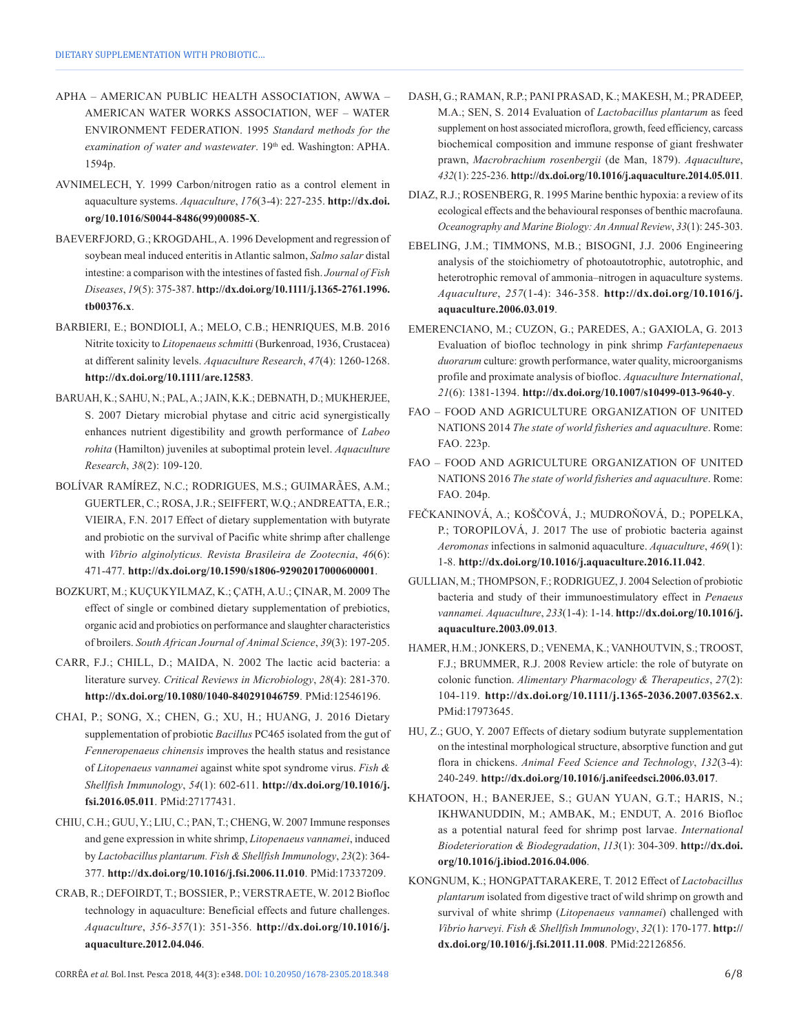- APHA AMERICAN PUBLIC HEALTH ASSOCIATION, AWWA AMERICAN WATER WORKS ASSOCIATION, WEF – WATER ENVIRONMENT FEDERATION. 1995 *Standard methods for the*  examination of water and wastewater. 19<sup>th</sup> ed. Washington: APHA. 1594p.
- AVNIMELECH, Y. 1999 Carbon/nitrogen ratio as a control element in aquaculture systems. *Aquaculture*, *176*(3-4): 227-235. **[http://dx.doi.](https://doi.org/10.1016/S0044-8486(99)00085-X) [org/10.1016/S0044-8486\(99\)00085-X](https://doi.org/10.1016/S0044-8486(99)00085-X)**.
- BAEVERFJORD, G.; KROGDAHL, A. 1996 Development and regression of soybean meal induced enteritis in Atlantic salmon, *Salmo salar* distal intestine: a comparison with the intestines of fasted fish. *Journal of Fish Diseases*, *19*(5): 375-387. **[http://dx.doi.org/10.1111/j.1365-2761.1996.](https://doi.org/10.1111/j.1365-2761.1996.tb00376.x) [tb00376.x](https://doi.org/10.1111/j.1365-2761.1996.tb00376.x)**.
- BARBIERI, E.; BONDIOLI, A.; MELO, C.B.; HENRIQUES, M.B. 2016 Nitrite toxicity to *Litopenaeus schmitti* (Burkenroad, 1936, Crustacea) at different salinity levels. *Aquaculture Research*, *47*(4): 1260-1268. **[http://dx.doi.org/10.1111/are.12583](https://doi.org/10.1111/are.12583)**.
- BARUAH, K.; SAHU, N.; PAL, A.; JAIN, K.K.; DEBNATH, D.; MUKHERJEE, S. 2007 Dietary microbial phytase and citric acid synergistically enhances nutrient digestibility and growth performance of *Labeo rohita* (Hamilton) juveniles at suboptimal protein level. *Aquaculture Research*, *38*(2): 109-120.
- BOLÍVAR RAMÍREZ, N.C.; RODRIGUES, M.S.; GUIMARÃES, A.M.; GUERTLER, C.; ROSA, J.R.; SEIFFERT, W.Q.; ANDREATTA, E.R.; VIEIRA, F.N. 2017 Effect of dietary supplementation with butyrate and probiotic on the survival of Pacific white shrimp after challenge with *Vibrio alginolyticus. Revista Brasileira de Zootecnia*, *46*(6): 471-477. **[http://dx.doi.org/10.1590/s1806-92902017000600001](https://doi.org/10.1590/s1806-92902017000600001)**.
- BOZKURT, M.; KUÇUKYILMAZ, K.; ÇATH, A.U.; ÇINAR, M. 2009 The effect of single or combined dietary supplementation of prebiotics, organic acid and probiotics on performance and slaughter characteristics of broilers. *South African Journal of Animal Science*, *39*(3): 197-205.
- CARR, F.J.; CHILL, D.; MAIDA, N. 2002 The lactic acid bacteria: a literature survey. *Critical Reviews in Microbiology*, *28*(4): 281-370. **[http://dx.doi.org/10.1080/1040-840291046759](https://doi.org/10.1080/1040-840291046759)**. [PMid:12546196.](https://www.ncbi.nlm.nih.gov/entrez/query.fcgi?cmd=Retrieve&db=PubMed&list_uids=12546196&dopt=Abstract)
- CHAI, P.; SONG, X.; CHEN, G.; XU, H.; HUANG, J. 2016 Dietary supplementation of probiotic *Bacillus* PC465 isolated from the gut of *Fenneropenaeus chinensis* improves the health status and resistance of *Litopenaeus vannamei* against white spot syndrome virus. *Fish & Shellfish Immunology*, *54*(1): 602-611. **[http://dx.doi.org/10.1016/j.](https://doi.org/10.1016/j.fsi.2016.05.011) [fsi.2016.05.011](https://doi.org/10.1016/j.fsi.2016.05.011)**. [PMid:27177431.](https://www.ncbi.nlm.nih.gov/entrez/query.fcgi?cmd=Retrieve&db=PubMed&list_uids=27177431&dopt=Abstract)
- CHIU, C.H.; GUU, Y.; LIU, C.; PAN, T.; CHENG, W. 2007 Immune responses and gene expression in white shrimp, *Litopenaeus vannamei*, induced by *Lactobacillus plantarum. Fish & Shellfish Immunology*, *23*(2): 364- 377. **[http://dx.doi.org/10.1016/j.fsi.2006.11.010](https://doi.org/10.1016/j.fsi.2006.11.010)**. [PMid:17337209.](https://www.ncbi.nlm.nih.gov/entrez/query.fcgi?cmd=Retrieve&db=PubMed&list_uids=17337209&dopt=Abstract)
- CRAB, R.; DEFOIRDT, T.; BOSSIER, P.; VERSTRAETE, W. 2012 Biofloc technology in aquaculture: Beneficial effects and future challenges. *Aquaculture*, *356-357*(1): 351-356. **[http://dx.doi.org/10.1016/j.](https://doi.org/10.1016/j.aquaculture.2012.04.046) [aquaculture.2012.04.046](https://doi.org/10.1016/j.aquaculture.2012.04.046)**.
- DASH, G.; RAMAN, R.P.; PANI PRASAD, K.; MAKESH, M.; PRADEEP, M.A.; SEN, S. 2014 Evaluation of *Lactobacillus plantarum* as feed supplement on host associated microflora, growth, feed efficiency, carcass biochemical composition and immune response of giant freshwater prawn, *Macrobrachium rosenbergii* (de Man, 1879). *Aquaculture*, *432*(1): 225-236. **[http://dx.doi.org/10.1016/j.aquaculture.2014.05.011](https://doi.org/10.1016/j.aquaculture.2014.05.011)**.
- DIAZ, R.J.; ROSENBERG, R. 1995 Marine benthic hypoxia: a review of its ecological effects and the behavioural responses of benthic macrofauna. *Oceanography and Marine Biology: An Annual Review*, *33*(1): 245-303.
- EBELING, J.M.; TIMMONS, M.B.; BISOGNI, J.J. 2006 Engineering analysis of the stoichiometry of photoautotrophic, autotrophic, and heterotrophic removal of ammonia–nitrogen in aquaculture systems. *Aquaculture*, *257*(1-4): 346-358. **[http://dx.doi.org/10.1016/j.](https://doi.org/10.1016/j.aquaculture.2006.03.019) [aquaculture.2006.03.019](https://doi.org/10.1016/j.aquaculture.2006.03.019)**.
- EMERENCIANO, M.; CUZON, G.; PAREDES, A.; GAXIOLA, G. 2013 Evaluation of biofloc technology in pink shrimp *Farfantepenaeus duorarum* culture: growth performance, water quality, microorganisms profile and proximate analysis of biofloc. *Aquaculture International*, *21*(6): 1381-1394. **[http://dx.doi.org/10.1007/s10499-013-9640-y](https://doi.org/10.1007/s10499-013-9640-y)**.
- FAO FOOD AND AGRICULTURE ORGANIZATION OF UNITED NATIONS 2014 *The state of world fisheries and aquaculture*. Rome: FAO. 223p.
- FAO FOOD AND AGRICULTURE ORGANIZATION OF UNITED NATIONS 2016 *The state of world fisheries and aquaculture*. Rome: FAO. 204p.
- FEČKANINOVÁ, A.; KOŠČOVÁ, J.; MUDROŇOVÁ, D.; POPELKA, P.; TOROPILOVÁ, J. 2017 The use of probiotic bacteria against *Aeromonas* infections in salmonid aquaculture. *Aquaculture*, *469*(1): 1-8. **[http://dx.doi.org/10.1016/j.aquaculture.2016.11.042](https://doi.org/10.1016/j.aquaculture.2016.11.042)**.
- GULLIAN, M.; THOMPSON, F.; RODRIGUEZ, J. 2004 Selection of probiotic bacteria and study of their immunoestimulatory effect in *Penaeus vannamei. Aquaculture*, *233*(1-4): 1-14. **[http://dx.doi.org/10.1016/j.](https://doi.org/10.1016/j.aquaculture.2003.09.013) [aquaculture.2003.09.013](https://doi.org/10.1016/j.aquaculture.2003.09.013)**.
- HAMER, H.M.; JONKERS, D.; VENEMA, K.; VANHOUTVIN, S.; TROOST, F.J.; BRUMMER, R.J. 2008 Review article: the role of butyrate on colonic function. *Alimentary Pharmacology & Therapeutics*, *27*(2): 104-119. **[http://dx.doi.org/10.1111/j.1365-2036.2007.03562.x](https://doi.org/10.1111/j.1365-2036.2007.03562.x)**. [PMid:17973645.](https://www.ncbi.nlm.nih.gov/entrez/query.fcgi?cmd=Retrieve&db=PubMed&list_uids=17973645&dopt=Abstract)
- HU, Z.; GUO, Y. 2007 Effects of dietary sodium butyrate supplementation on the intestinal morphological structure, absorptive function and gut flora in chickens. *Animal Feed Science and Technology*, *132*(3-4): 240-249. **[http://dx.doi.org/10.1016/j.anifeedsci.2006.03.017](https://doi.org/10.1016/j.anifeedsci.2006.03.017)**.
- KHATOON, H.; BANERJEE, S.; GUAN YUAN, G.T.; HARIS, N.; IKHWANUDDIN, M.; AMBAK, M.; ENDUT, A. 2016 Biofloc as a potential natural feed for shrimp post larvae. *International Biodeterioration & Biodegradation*, *113*(1): 304-309. **[http://dx.doi.](https://doi.org/10.1016/j.ibiod.2016.04.006) [org/10.1016/j.ibiod.2016.04.006](https://doi.org/10.1016/j.ibiod.2016.04.006)**.
- KONGNUM, K.; HONGPATTARAKERE, T. 2012 Effect of *Lactobacillus plantarum* isolated from digestive tract of wild shrimp on growth and survival of white shrimp (*Litopenaeus vannamei*) challenged with *Vibrio harveyi. Fish & Shellfish Immunology*, *32*(1): 170-177. **[http://](https://doi.org/10.1016/j.fsi.2011.11.008) [dx.doi.org/10.1016/j.fsi.2011.11.008](https://doi.org/10.1016/j.fsi.2011.11.008)**. [PMid:22126856.](https://www.ncbi.nlm.nih.gov/entrez/query.fcgi?cmd=Retrieve&db=PubMed&list_uids=22126856&dopt=Abstract)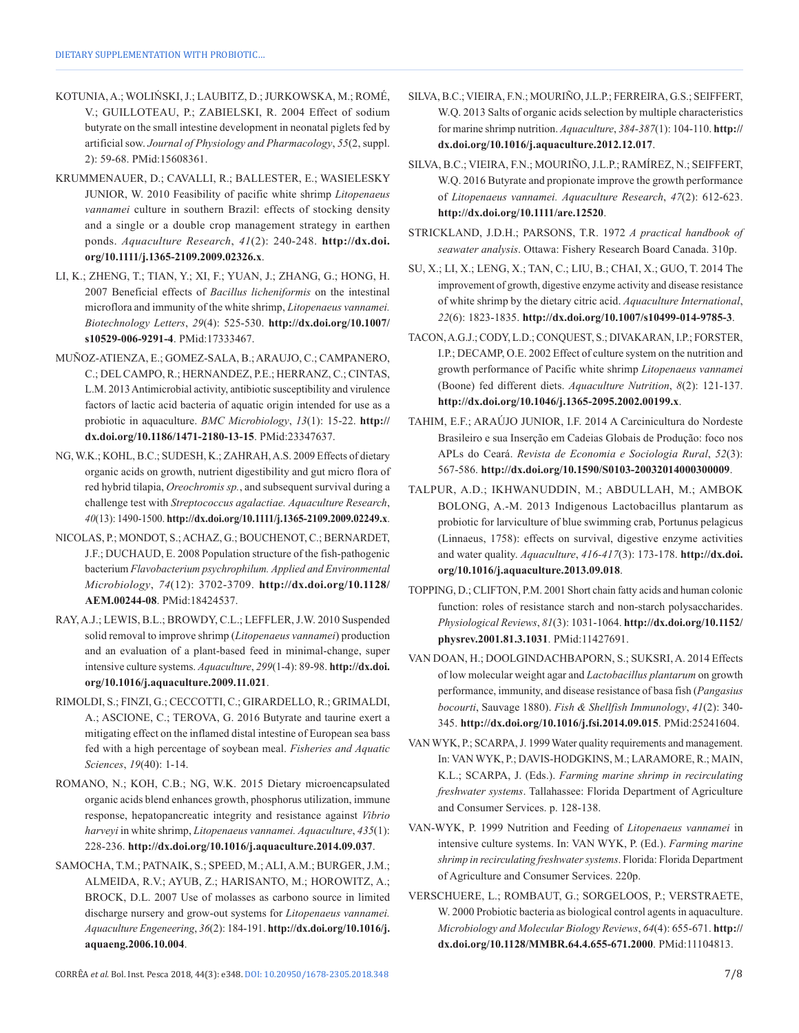- KOTUNIA, A.; WOLIŃSKI, J.; LAUBITZ, D.; JURKOWSKA, M.; ROMÉ, V.; GUILLOTEAU, P.; ZABIELSKI, R. 2004 Effect of sodium butyrate on the small intestine development in neonatal piglets fed by artificial sow. *Journal of Physiology and Pharmacology*, *55*(2, suppl. 2): 59-68[. PMid:15608361.](https://www.ncbi.nlm.nih.gov/entrez/query.fcgi?cmd=Retrieve&db=PubMed&list_uids=15608361&dopt=Abstract)
- KRUMMENAUER, D.; CAVALLI, R.; BALLESTER, E.; WASIELESKY JUNIOR, W. 2010 Feasibility of pacific white shrimp *Litopenaeus vannamei* culture in southern Brazil: effects of stocking density and a single or a double crop management strategy in earthen ponds. *Aquaculture Research*, *41*(2): 240-248. **[http://dx.doi.](https://doi.org/10.1111/j.1365-2109.2009.02326.x) [org/10.1111/j.1365-2109.2009.02326.x](https://doi.org/10.1111/j.1365-2109.2009.02326.x)**.
- LI, K.; ZHENG, T.; TIAN, Y.; XI, F.; YUAN, J.; ZHANG, G.; HONG, H. 2007 Beneficial effects of *Bacillus licheniformis* on the intestinal microflora and immunity of the white shrimp, *Litopenaeus vannamei. Biotechnology Letters*, *29*(4): 525-530. **[http://dx.doi.org/10.1007/](https://doi.org/10.1007/s10529-006-9291-4) [s10529-006-9291-4](https://doi.org/10.1007/s10529-006-9291-4)**[. PMid:17333467.](https://www.ncbi.nlm.nih.gov/entrez/query.fcgi?cmd=Retrieve&db=PubMed&list_uids=17333467&dopt=Abstract)
- MUÑOZ-ATIENZA, E.; GOMEZ-SALA, B.; ARAUJO, C.; CAMPANERO, C.; DEL CAMPO, R.; HERNANDEZ, P.E.; HERRANZ, C.; CINTAS, L.M. 2013 Antimicrobial activity, antibiotic susceptibility and virulence factors of lactic acid bacteria of aquatic origin intended for use as a probiotic in aquaculture. *BMC Microbiology*, *13*(1): 15-22. **[http://](https://doi.org/10.1186/1471-2180-13-15) [dx.doi.org/10.1186/1471-2180-13-15](https://doi.org/10.1186/1471-2180-13-15)**. [PMid:23347637.](https://www.ncbi.nlm.nih.gov/entrez/query.fcgi?cmd=Retrieve&db=PubMed&list_uids=23347637&dopt=Abstract)
- NG, W.K.; KOHL, B.C.; SUDESH, K.; ZAHRAH, A.S. 2009 Effects of dietary organic acids on growth, nutrient digestibility and gut micro flora of red hybrid tilapia, *Oreochromis sp.*, and subsequent survival during a challenge test with *Streptococcus agalactiae. Aquaculture Research*, *40*(13): 1490-1500. **[http://dx.doi.org/10.1111/j.1365-2109.2009.02249.x](https://doi.org/10.1111/j.1365-2109.2009.02249.x)**.
- NICOLAS, P.; MONDOT, S.; ACHAZ, G.; BOUCHENOT, C.; BERNARDET, J.F.; DUCHAUD, E. 2008 Population structure of the fish-pathogenic bacterium *Flavobacterium psychrophilum. Applied and Environmental Microbiology*, *74*(12): 3702-3709. **[http://dx.doi.org/10.1128/](https://doi.org/10.1128/AEM.00244-08) [AEM.00244-08](https://doi.org/10.1128/AEM.00244-08)**[. PMid:18424537.](https://www.ncbi.nlm.nih.gov/entrez/query.fcgi?cmd=Retrieve&db=PubMed&list_uids=18424537&dopt=Abstract)
- RAY, A.J.; LEWIS, B.L.; BROWDY, C.L.; LEFFLER, J.W. 2010 Suspended solid removal to improve shrimp (*Litopenaeus vannamei*) production and an evaluation of a plant-based feed in minimal-change, super intensive culture systems. *Aquaculture*, *299*(1-4): 89-98. **[http://dx.doi.](https://doi.org/10.1016/j.aquaculture.2009.11.021) [org/10.1016/j.aquaculture.2009.11.021](https://doi.org/10.1016/j.aquaculture.2009.11.021)**.
- RIMOLDI, S.; FINZI, G.; CECCOTTI, C.; GIRARDELLO, R.; GRIMALDI, A.; ASCIONE, C.; TEROVA, G. 2016 Butyrate and taurine exert a mitigating effect on the inflamed distal intestine of European sea bass fed with a high percentage of soybean meal. *Fisheries and Aquatic Sciences*, *19*(40): 1-14.
- ROMANO, N.; KOH, C.B.; NG, W.K. 2015 Dietary microencapsulated organic acids blend enhances growth, phosphorus utilization, immune response, hepatopancreatic integrity and resistance against *Vibrio harveyi* in white shrimp, *Litopenaeus vannamei. Aquaculture*, *435*(1): 228-236. **[http://dx.doi.org/10.1016/j.aquaculture.2014.09.037](https://doi.org/10.1016/j.aquaculture.2014.09.037)**.
- SAMOCHA, T.M.; PATNAIK, S.; SPEED, M.; ALI, A.M.; BURGER, J.M.; ALMEIDA, R.V.; AYUB, Z.; HARISANTO, M.; HOROWITZ, A.; BROCK, D.L. 2007 Use of molasses as carbono source in limited discharge nursery and grow-out systems for *Litopenaeus vannamei. Aquaculture Engeneering*, *36*(2): 184-191. **[http://dx.doi.org/10.1016/j.](https://doi.org/10.1016/j.aquaeng.2006.10.004) [aquaeng.2006.10.004](https://doi.org/10.1016/j.aquaeng.2006.10.004)**.
- SILVA, B.C.; VIEIRA, F.N.; MOURIÑO, J.L.P.; FERREIRA, G.S.; SEIFFERT, W.Q. 2013 Salts of organic acids selection by multiple characteristics for marine shrimp nutrition. *Aquaculture*, *384-387*(1): 104-110. **[http://](https://doi.org/10.1016/j.aquaculture.2012.12.017) [dx.doi.org/10.1016/j.aquaculture.2012.12.017](https://doi.org/10.1016/j.aquaculture.2012.12.017)**.
- SILVA, B.C.; VIEIRA, F.N.; MOURIÑO, J.L.P.; RAMÍREZ, N.; SEIFFERT, W.Q. 2016 Butyrate and propionate improve the growth performance of *Litopenaeus vannamei. Aquaculture Research*, *47*(2): 612-623. **[http://dx.doi.org/10.1111/are.12520](https://doi.org/10.1111/are.12520)**.
- STRICKLAND, J.D.H.; PARSONS, T.R. 1972 *A practical handbook of seawater analysis*. Ottawa: Fishery Research Board Canada. 310p.
- SU, X.; LI, X.; LENG, X.; TAN, C.; LIU, B.; CHAI, X.; GUO, T. 2014 The improvement of growth, digestive enzyme activity and disease resistance of white shrimp by the dietary citric acid. *Aquaculture International*, *22*(6): 1823-1835. **[http://dx.doi.org/10.1007/s10499-014-9785-3](https://doi.org/10.1007/s10499-014-9785-3)**.
- TACON, A.G.J.; CODY, L.D.; CONQUEST, S.; DIVAKARAN, I.P.; FORSTER, I.P.; DECAMP, O.E. 2002 Effect of culture system on the nutrition and growth performance of Pacific white shrimp *Litopenaeus vannamei* (Boone) fed different diets. *Aquaculture Nutrition*, *8*(2): 121-137. **[http://dx.doi.org/10.1046/j.1365-2095.2002.00199.x](https://doi.org/10.1046/j.1365-2095.2002.00199.x)**.
- TAHIM, E.F.; ARAÚJO JUNIOR, I.F. 2014 A Carcinicultura do Nordeste Brasileiro e sua Inserção em Cadeias Globais de Produção: foco nos APLs do Ceará. *Revista de Economia e Sociologia Rural*, *52*(3): 567-586. **[http://dx.doi.org/10.1590/S0103-20032014000300009](https://doi.org/10.1590/S0103-20032014000300009)**.
- TALPUR, A.D.; IKHWANUDDIN, M.; ABDULLAH, M.; AMBOK BOLONG, A.-M. 2013 Indigenous Lactobacillus plantarum as probiotic for larviculture of blue swimming crab, Portunus pelagicus (Linnaeus, 1758): effects on survival, digestive enzyme activities and water quality. *Aquaculture*, *416-417*(3): 173-178. **[http://dx.doi.](https://doi.org/10.1016/j.aquaculture.2013.09.018) [org/10.1016/j.aquaculture.2013.09.018](https://doi.org/10.1016/j.aquaculture.2013.09.018)**.
- TOPPING, D.; CLIFTON, P.M. 2001 Short chain fatty acids and human colonic function: roles of resistance starch and non-starch polysaccharides. *Physiological Reviews*, *81*(3): 1031-1064. **[http://dx.doi.org/10.1152/](https://doi.org/10.1152/physrev.2001.81.3.1031) [physrev.2001.81.3.1031](https://doi.org/10.1152/physrev.2001.81.3.1031)**[. PMid:11427691.](https://www.ncbi.nlm.nih.gov/entrez/query.fcgi?cmd=Retrieve&db=PubMed&list_uids=11427691&dopt=Abstract)
- VAN DOAN, H.; DOOLGINDACHBAPORN, S.; SUKSRI, A. 2014 Effects of low molecular weight agar and *Lactobacillus plantarum* on growth performance, immunity, and disease resistance of basa fish (*Pangasius bocourti*, Sauvage 1880). *Fish & Shellfish Immunology*, *41*(2): 340- 345. **[http://dx.doi.org/10.1016/j.fsi.2014.09.015](https://doi.org/10.1016/j.fsi.2014.09.015)**. [PMid:25241604.](https://www.ncbi.nlm.nih.gov/entrez/query.fcgi?cmd=Retrieve&db=PubMed&list_uids=25241604&dopt=Abstract)
- VAN WYK, P.; SCARPA, J. 1999 Water quality requirements and management. In: VAN WYK, P.; DAVIS-HODGKINS, M.; LARAMORE, R.; MAIN, K.L.; SCARPA, J. (Eds.). *Farming marine shrimp in recirculating freshwater systems*. Tallahassee: Florida Department of Agriculture and Consumer Services. p. 128-138.
- VAN-WYK, P. 1999 Nutrition and Feeding of *Litopenaeus vannamei* in intensive culture systems. In: VAN WYK, P. (Ed.). *Farming marine shrimp in recirculating freshwater systems*. Florida: Florida Department of Agriculture and Consumer Services. 220p.
- VERSCHUERE, L.; ROMBAUT, G.; SORGELOOS, P.; VERSTRAETE, W. 2000 Probiotic bacteria as biological control agents in aquaculture. *Microbiology and Molecular Biology Reviews*, *64*(4): 655-671. **[http://](https://doi.org/10.1128/MMBR.64.4.655-671.2000) [dx.doi.org/10.1128/MMBR.64.4.655-671.2000](https://doi.org/10.1128/MMBR.64.4.655-671.2000)**. [PMid:11104813.](https://www.ncbi.nlm.nih.gov/entrez/query.fcgi?cmd=Retrieve&db=PubMed&list_uids=11104813&dopt=Abstract)